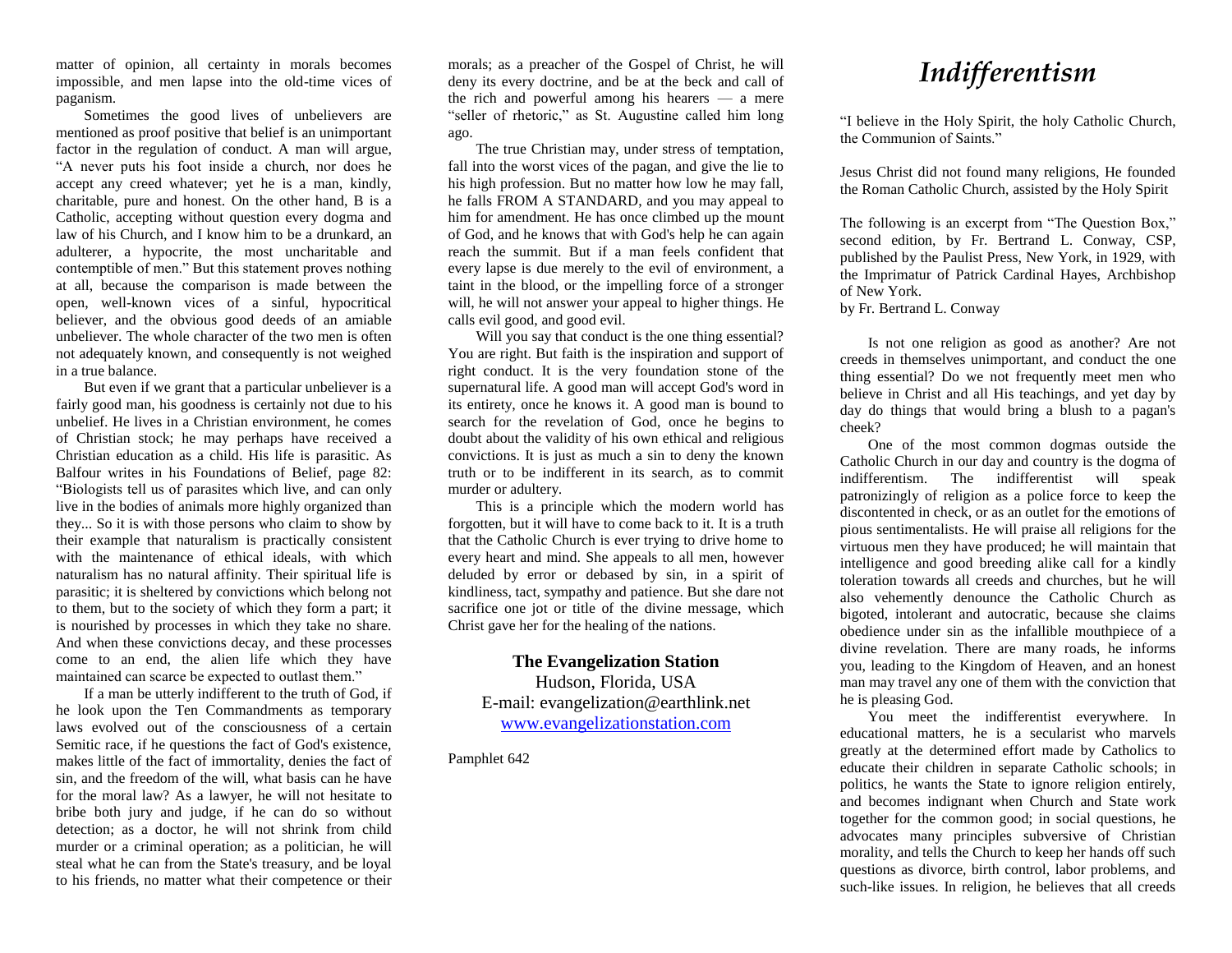matter of opinion, all certainty in morals becomes impossible, and men lapse into the old-time vices of paganism.

Sometimes the good lives of unbelievers are mentioned as proof positive that belief is an unimportant factor in the regulation of conduct. A man will argue, "A never puts his foot inside a church, nor does he accept any creed whatever; yet he is a man, kindly, charitable, pure and honest. On the other hand, B is a Catholic, accepting without question every dogma and law of his Church, and I know him to be a drunkard, an adulterer, a hypocrite, the most uncharitable and contemptible of men." But this statement proves nothing at all, because the comparison is made between the open, well-known vices of a sinful, hypocritical believer, and the obvious good deeds of an amiable unbeliever. The whole character of the two men is often not adequately known, and consequently is not weighed in a true balance.

But even if we grant that a particular unbeliever is a fairly good man, his goodness is certainly not due to his unbelief. He lives in a Christian environment, he comes of Christian stock; he may perhaps have received a Christian education as a child. His life is parasitic. As Balfour writes in his Foundations of Belief, page 82: "Biologists tell us of parasites which live, and can only live in the bodies of animals more highly organized than they... So it is with those persons who claim to show by their example that naturalism is practically consistent with the maintenance of ethical ideals, with which naturalism has no natural affinity. Their spiritual life is parasitic; it is sheltered by convictions which belong not to them, but to the society of which they form a part; it is nourished by processes in which they take no share. And when these convictions decay, and these processes come to an end, the alien life which they have maintained can scarce be expected to outlast them."

If a man be utterly indifferent to the truth of God, if he look upon the Ten Commandments as temporary laws evolved out of the consciousness of a certain Semitic race, if he questions the fact of God's existence, makes little of the fact of immortality, denies the fact of sin, and the freedom of the will, what basis can he have for the moral law? As a lawyer, he will not hesitate to bribe both jury and judge, if he can do so without detection; as a doctor, he will not shrink from child murder or a criminal operation; as a politician, he will steal what he can from the State's treasury, and be loyal to his friends, no matter what their competence or their

morals; as a preacher of the Gospel of Christ, he will deny its every doctrine, and be at the beck and call of the rich and powerful among his hearers — a mere "seller of rhetoric," as St. Augustine called him long ago.

The true Christian may, under stress of temptation, fall into the worst vices of the pagan, and give the lie to his high profession. But no matter how low he may fall, he falls FROM A STANDARD, and you may appeal to him for amendment. He has once climbed up the mount of God, and he knows that with God's help he can again reach the summit. But if a man feels confident that every lapse is due merely to the evil of environment, a taint in the blood, or the impelling force of a stronger will, he will not answer your appeal to higher things. He calls evil good, and good evil.

Will you say that conduct is the one thing essential? You are right. But faith is the inspiration and support of right conduct. It is the very foundation stone of the supernatural life. A good man will accept God's word in its entirety, once he knows it. A good man is bound to search for the revelation of God, once he begins to doubt about the validity of his own ethical and religious convictions. It is just as much a sin to deny the known truth or to be indifferent in its search, as to commit murder or adultery.

This is a principle which the modern world has forgotten, but it will have to come back to it. It is a truth that the Catholic Church is ever trying to drive home to every heart and mind. She appeals to all men, however deluded by error or debased by sin, in a spirit of kindliness, tact, sympathy and patience. But she dare not sacrifice one jot or title of the divine message, which Christ gave her for the healing of the nations.

**The Evangelization Station** Hudson, Florida, USA E-mail: evangelization@earthlink.net [www.evangelizationstation.com](http://www.pjpiisoe.org/)

Pamphlet 642

## *Indifferentism*

"I believe in the Holy Spirit, the holy Catholic Church, the Communion of Saints."

Jesus Christ did not found many religions, He founded the Roman Catholic Church, assisted by the Holy Spirit

The following is an excerpt from "The Question Box," second edition, by Fr. Bertrand L. Conway, CSP, published by the Paulist Press, New York, in 1929, with the Imprimatur of Patrick Cardinal Hayes, Archbishop of New York.

by Fr. Bertrand L. Conway

Is not one religion as good as another? Are not creeds in themselves unimportant, and conduct the one thing essential? Do we not frequently meet men who believe in Christ and all His teachings, and yet day by day do things that would bring a blush to a pagan's cheek?

One of the most common dogmas outside the Catholic Church in our day and country is the dogma of indifferentism. The indifferentist will speak patronizingly of religion as a police force to keep the discontented in check, or as an outlet for the emotions of pious sentimentalists. He will praise all religions for the virtuous men they have produced; he will maintain that intelligence and good breeding alike call for a kindly toleration towards all creeds and churches, but he will also vehemently denounce the Catholic Church as bigoted, intolerant and autocratic, because she claims obedience under sin as the infallible mouthpiece of a divine revelation. There are many roads, he informs you, leading to the Kingdom of Heaven, and an honest man may travel any one of them with the conviction that he is pleasing God.

You meet the indifferentist everywhere. In educational matters, he is a secularist who marvels greatly at the determined effort made by Catholics to educate their children in separate Catholic schools; in politics, he wants the State to ignore religion entirely, and becomes indignant when Church and State work together for the common good; in social questions, he advocates many principles subversive of Christian morality, and tells the Church to keep her hands off such questions as divorce, birth control, labor problems, and such-like issues. In religion, he believes that all creeds